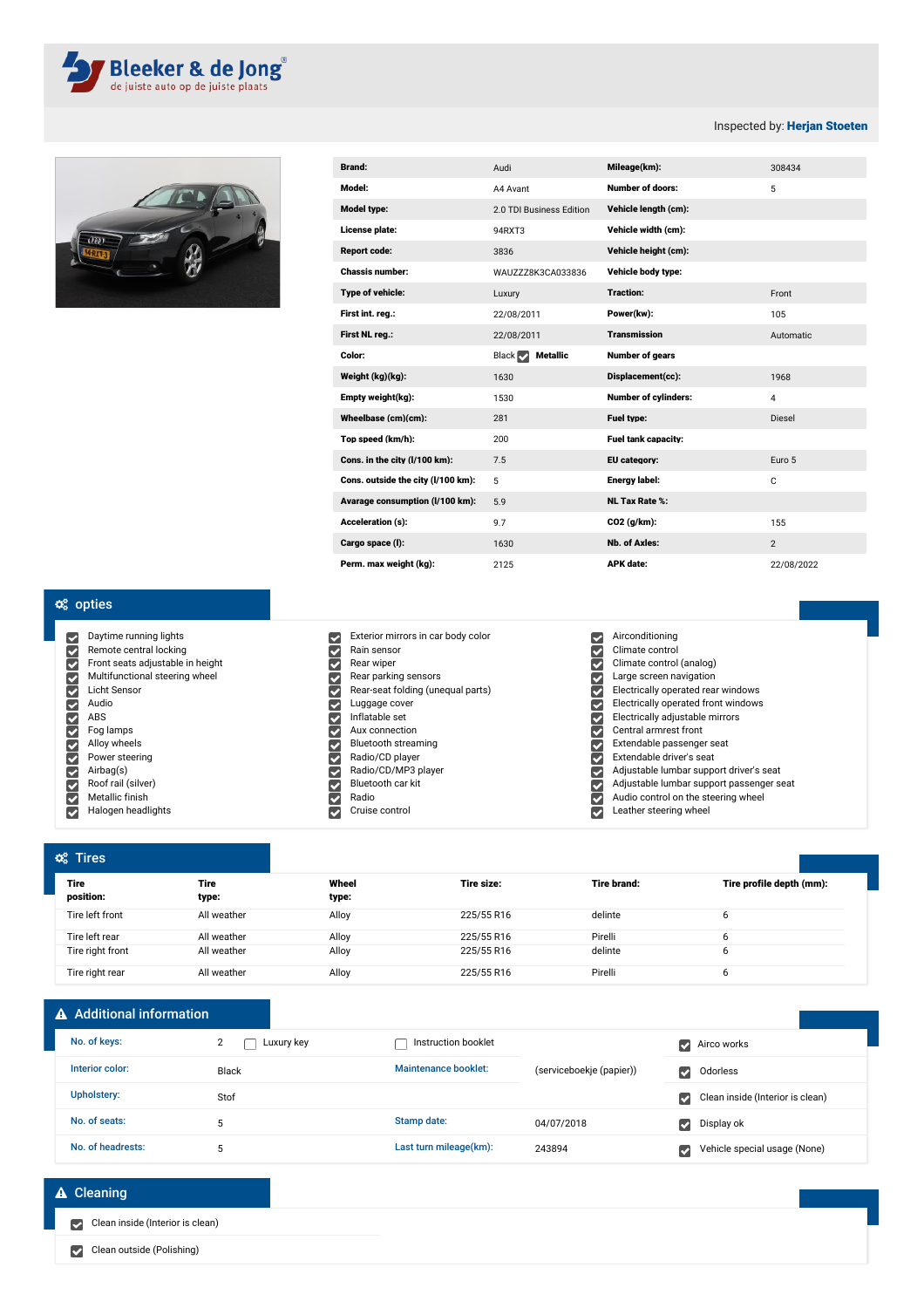



| <b>Brand:</b>                      | Audi                     | Mileage(km):                | 308434         |
|------------------------------------|--------------------------|-----------------------------|----------------|
| Model:                             | A4 Avant                 | <b>Number of doors:</b>     | 5              |
| <b>Model type:</b>                 | 2.0 TDI Business Edition | Vehicle length (cm):        |                |
| License plate:                     | 94RXT3                   | Vehicle width (cm):         |                |
| <b>Report code:</b>                | 3836                     | Vehicle height (cm):        |                |
| <b>Chassis number:</b>             | WAUZZZ8K3CA033836        | Vehicle body type:          |                |
| Type of vehicle:                   | Luxury                   | <b>Traction:</b>            | Front          |
| First int. reg.:                   | 22/08/2011               | Power(kw):                  | 105            |
| First NL reg.:                     | 22/08/2011               | <b>Transmission</b>         | Automatic      |
| Color:                             | <b>Metallic</b><br>Black | <b>Number of gears</b>      |                |
| Weiaht (ka)(ka):                   | 1630                     | Displacement(cc):           | 1968           |
| Empty weight(kg):                  | 1530                     | <b>Number of cylinders:</b> | $\overline{4}$ |
| Wheelbase (cm)(cm):                | 281                      | <b>Fuel type:</b>           | Diesel         |
| Top speed (km/h):                  | 200                      | <b>Fuel tank capacity:</b>  |                |
| Cons. in the city (I/100 km):      | 7.5                      | EU category:                | Euro 5         |
| Cons. outside the city (I/100 km): | 5                        | <b>Energy label:</b>        | C              |
| Avarage consumption (I/100 km):    | 5.9                      | <b>NL Tax Rate %:</b>       |                |
| <b>Acceleration (s):</b>           | 9.7                      | CO2 (a/km):                 | 155            |
| Cargo space (I):                   | 1630                     | Nb. of Axles:               | $\overline{2}$ |
| Perm. max weight (kg):             | 2125                     | <b>APK</b> date:            | 22/08/2022     |

### $\phi_{\alpha}^{\alpha}$  opties

Daytime running lights 388888888888888 Remote central locking Front seats adjustable in height Multifunctional steering wheel Licht Sensor Audio ABS Fog lamps Alloy wheels Power steering Airbag(s) Roof rail (silver) Metallic finish Halogen headlights

|               | Exterior mirrors in car body color |
|---------------|------------------------------------|
| Ý.            | Rain sensor                        |
|               | Rear wiper                         |
| $\frac{1}{2}$ | Rear parking sensors               |
|               | Rear-seat folding (unequal parts)  |
| ⊽             | Luggage cover                      |
| ☑             | Inflatable set                     |
| ⊽             | Aux connection                     |
| ⊽             | <b>Bluetooth streaming</b>         |
| ☑             | Radio/CD player                    |
| ⊽             | Radio/CD/MP3 player                |
| ✓             | Bluetooth car kit                  |
| ✓             | Radio                              |
|               | Cruise control                     |

#### Airconditioning Climate control संसंस Climate control (analog) Large screen navigation Electrically operated rear windows राससम्बद्ध Electrically operated front windows Electrically adjustable mirrors Central armrest front Extendable passenger seat Extendable driver's seat Adjustable lumbar support driver's seat Adjustable lumbar support passenger seat Audio control on the steering wheel Leather steering wheel

# o<sup>®</sup> Tires

| Tire<br>position: | Tire<br>type: | Wheel<br>type: | Tire size: | Tire brand: | Tire profile depth (mm): |
|-------------------|---------------|----------------|------------|-------------|--------------------------|
| Tire left front   | All weather   | Alloy          | 225/55 R16 | delinte     |                          |
| Tire left rear    | All weather   | Alloy          | 225/55 R16 | Pirelli     |                          |
| Tire right front  | All weather   | Alloy          | 225/55 R16 | delinte     |                          |
| Tire right rear   | All weather   | Allov          | 225/55 R16 | Pirelli     |                          |

| A Additional information |                    |                 |                             |                          |                                       |  |  |  |
|--------------------------|--------------------|-----------------|-----------------------------|--------------------------|---------------------------------------|--|--|--|
|                          | No. of keys:       | Luxury key<br>2 | Instruction booklet         | (serviceboekje (papier)) | Airco works<br>м                      |  |  |  |
|                          | Interior color:    | <b>Black</b>    | <b>Maintenance booklet:</b> |                          | Odorless<br>M                         |  |  |  |
|                          | <b>Upholstery:</b> | Stof            |                             |                          | Clean inside (Interior is clean)<br>м |  |  |  |
|                          | No. of seats:      | 5               | Stamp date:                 | 04/07/2018               | Display ok<br>м                       |  |  |  |
|                          | No. of headrests:  | 5               | Last turn mileage(km):      | 243894                   | Vehicle special usage (None)<br>м     |  |  |  |

#### A Cleaning

Clean inside (Interior is clean)  $\sim$ 

Clean outside (Polishing)

### Inspected by: Herjan Stoeten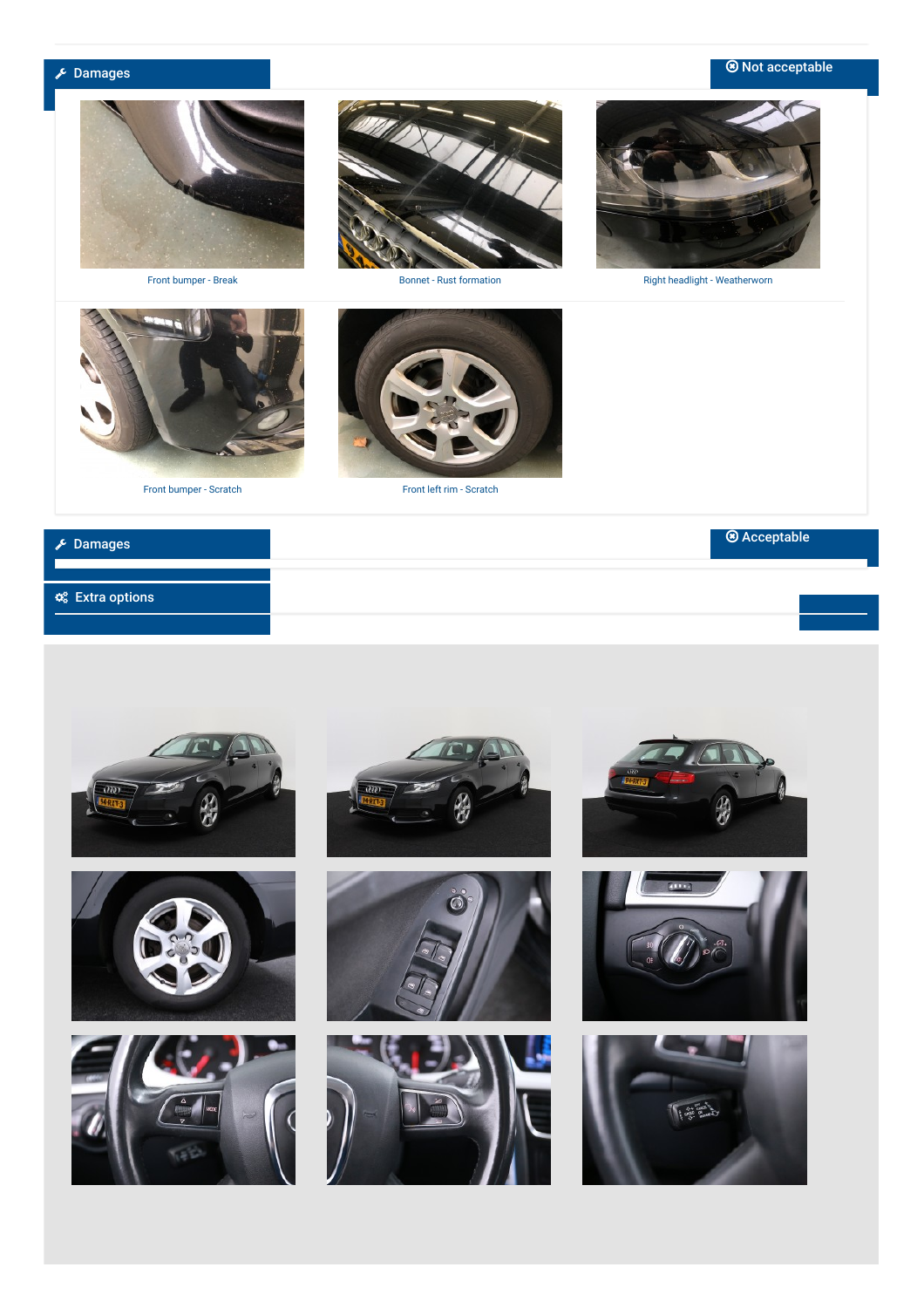## Comages

## Not acceptable











Front bumper - Scratch Front left rim - Scratch

Damages

## **8** Acceptable

## $\phi_{s}^{s}$  Extra options

 $rac{1}{2}$ 















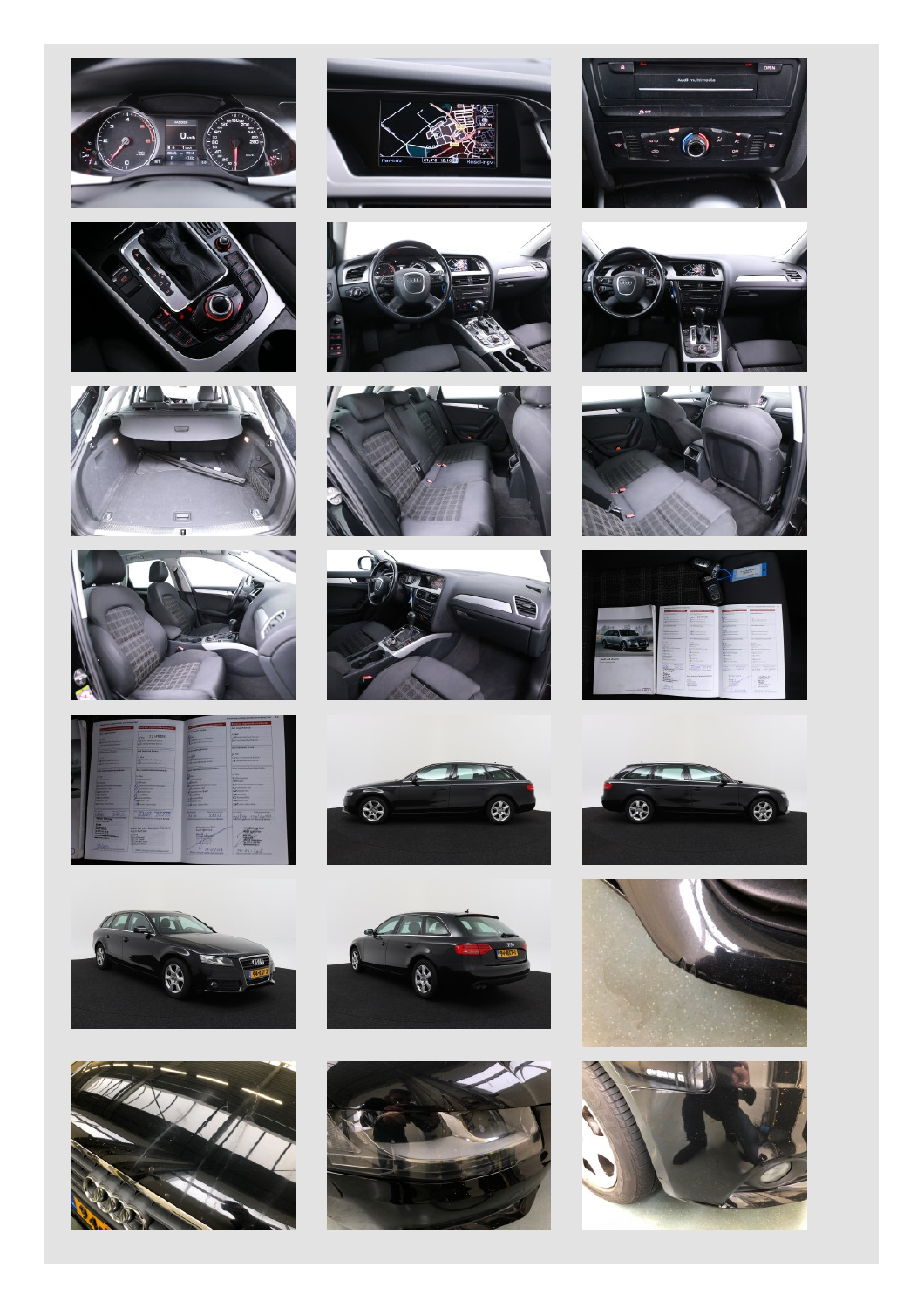